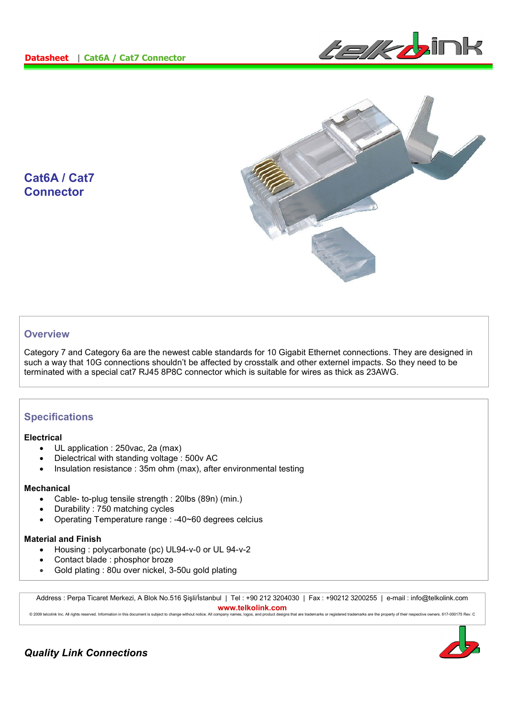



**Cat6A / Cat7 Connector** 

# **Overview**

Category 7 and Category 6a are the newest cable standards for 10 Gigabit Ethernet connections. They are designed in such a way that 10G connections shouldn't be affected by crosstalk and other externel impacts. So they need to be terminated with a special cat7 RJ45 8P8C connector which is suitable for wires as thick as 23AWG.

## **Specifications**

#### **Electrical**

- UL application : 250vac, 2a (max)
- Dielectrical with standing voltage : 500v AC
- Insulation resistance : 35m ohm (max), after environmental testing

#### **Mechanical**

- Cable- to-plug tensile strength : 20lbs (89n) (min.)
- Durability : 750 matching cycles
- Operating Temperature range : -40~60 degrees celcius

### **Material and Finish**

- Housing : polycarbonate (pc) UL94-v-0 or UL 94-v-2
- Contact blade : phosphor broze
- Gold plating : 80u over nickel, 3-50u gold plating

Address : Perpa Ticaret Merkezi, A Blok No.516 Şişli/İstanbul | Tel : +90 212 3204030 | Fax : +90212 3200255 | e-mail : info@telkolink.com **www.telkolink.com**<br>nmpany names logos, and product designs that are trademarks or registered trademarks are the property of their respective owners, 617-000175 Rey. C

© 2009 telcolink Inc. All rights reserved. Information in this document is subject to change without notice. All company nam



*Quality Link Connections*